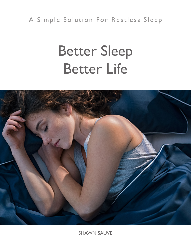## A Simple Solution For Restless Sleep

# Better Sleep Better Life



SHAWN SAUVE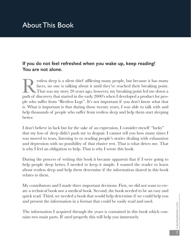## About This Book

#### **If you do not feel refreshed when you wake up, keep reading! You are not alone.**

Extess sleep is a silent thief afflicting many people, but because it has many faces, no one is talking about it until they've reached their breaking point.<br>That was my story 20 years ago, however, my breaking point led me faces, no one is talking about it until they've reached their breaking point. That was my story 20 years ago, however, my breaking point led me down a path of discovery that started in the early 2000's when I developed a product for people who suffer from "Restless Legs". It's not important if you don't know what that is. What is important is that during those twenty years, I was able to talk with and help thousands of people who suffer from restless sleep and help them start sleeping better.

I don't believe in luck but for the sake of an expression, I consider myself "lucky" that my loss of sleep didn't push me to despair. I cannot tell you how many times I was moved to tears, listening to or reading people's stories dealing with exhaustion and depression with no possibility of that elusive rest. That is what drives me. That is why I feel an obligation to help. That is why I wrote this book.

During the process of writing this book it became apparent that if I were going to help people sleep better, I needed to keep it simple. I wanted the reader to learn about restless sleep and help them determine if the information shared in this book relates to them.

My contributors and I made three important decisions. First, we did not want to create a technical book nor a medical book. Second, the book needed to be an easy and quick read. Third, we needed a book that would help determine if we could help you and present the information in a format that could be easily read and used.

The information I acquired through the years is contained in this book which contains two main parts. If used properly this will help you immensely.